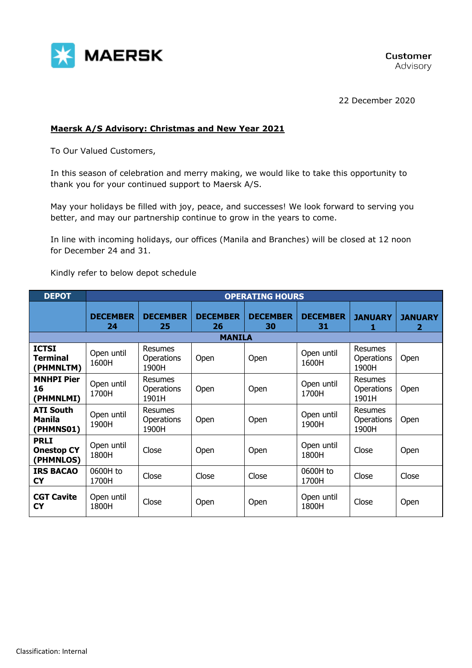

22 December 2020

## **Maersk A/S Advisory: Christmas and New Year 2021**

To Our Valued Customers,

In this season of celebration and merry making, we would like to take this opportunity to thank you for your continued support to Maersk A/S.

May your holidays be filled with joy, peace, and successes! We look forward to serving you better, and may our partnership continue to grow in the years to come.

In line with incoming holidays, our offices (Manila and Branches) will be closed at 12 noon for December 24 and 31.

Kindly refer to below depot schedule

| <b>DEPOT</b>                                   | <b>OPERATING HOURS</b> |                                              |                       |                       |                       |                                       |                     |
|------------------------------------------------|------------------------|----------------------------------------------|-----------------------|-----------------------|-----------------------|---------------------------------------|---------------------|
|                                                | <b>DECEMBER</b><br>24  | <b>DECEMBER</b><br>25                        | <b>DECEMBER</b><br>26 | <b>DECEMBER</b><br>30 | <b>DECEMBER</b><br>31 | <b>JANUARY</b><br>1                   | <b>JANUARY</b><br>2 |
|                                                |                        |                                              | <b>MANILA</b>         |                       |                       |                                       |                     |
| <b>ICTSI</b><br><b>Terminal</b><br>(PHMNLTM)   | Open until<br>1600H    | <b>Resumes</b><br>Operations<br>1900H        | Open                  | Open                  | Open until<br>1600H   | Resumes<br><b>Operations</b><br>1900H | Open                |
| <b>MNHPI Pier</b><br>16<br>(PHMNLMI)           | Open until<br>1700H    | <b>Resumes</b><br><b>Operations</b><br>1901H | <b>Open</b>           | Open                  | Open until<br>1700H   | Resumes<br><b>Operations</b><br>1901H | Open                |
| <b>ATI South</b><br><b>Manila</b><br>(PHMNS01) | Open until<br>1900H    | <b>Resumes</b><br>Operations<br>1900H        | <b>Open</b>           | Open                  | Open until<br>1900H   | Resumes<br><b>Operations</b><br>1900H | Open                |
| <b>PRLI</b><br><b>Onestop CY</b><br>(PHMNLOS)  | Open until<br>1800H    | Close                                        | Open                  | Open                  | Open until<br>1800H   | Close                                 | Open                |
| <b>IRS BACAO</b><br><b>CY</b>                  | 0600H to<br>1700H      | Close                                        | Close                 | Close                 | 0600H to<br>1700H     | Close                                 | Close               |
| <b>CGT Cavite</b><br><b>CY</b>                 | Open until<br>1800H    | Close                                        | Open                  | Open                  | Open until<br>1800H   | Close                                 | Open                |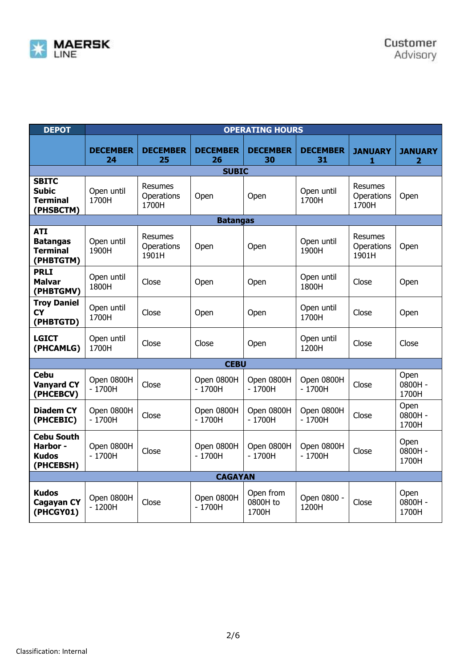

| <b>DEPOT</b>                                                  | <b>OPERATING HOURS</b> |                                       |                        |                                |                        |                                       |                                  |
|---------------------------------------------------------------|------------------------|---------------------------------------|------------------------|--------------------------------|------------------------|---------------------------------------|----------------------------------|
|                                                               | <b>DECEMBER</b><br>24  | <b>DECEMBER</b><br>25                 | <b>DECEMBER</b><br>26  | <b>DECEMBER</b><br>30          | <b>DECEMBER</b><br>31  | <b>JANUARY</b><br>1                   | <b>JANUARY</b><br>$\overline{2}$ |
|                                                               |                        |                                       | <b>SUBIC</b>           |                                |                        |                                       |                                  |
| <b>SBITC</b><br><b>Subic</b><br><b>Terminal</b><br>(PHSBCTM)  | Open until<br>1700H    | Resumes<br>Operations<br>1700H        | Open                   | Open                           | Open until<br>1700H    | Resumes<br>Operations<br>1700H        | Open                             |
|                                                               |                        |                                       | <b>Batangas</b>        |                                |                        |                                       |                                  |
| <b>ATI</b><br><b>Batangas</b><br><b>Terminal</b><br>(PHBTGTM) | Open until<br>1900H    | <b>Resumes</b><br>Operations<br>1901H | Open                   | Open                           | Open until<br>1900H    | <b>Resumes</b><br>Operations<br>1901H | Open                             |
| <b>PRLI</b><br><b>Malvar</b><br>(PHBTGMV)                     | Open until<br>1800H    | Close                                 | Open                   | Open                           | Open until<br>1800H    | Close                                 | Open                             |
| <b>Troy Daniel</b><br><b>CY</b><br>(PHBTGTD)                  | Open until<br>1700H    | Close                                 | Open                   | Open                           | Open until<br>1700H    | Close                                 | Open                             |
| <b>LGICT</b><br>(PHCAMLG)                                     | Open until<br>1700H    | Close                                 | Close                  | Open                           | Open until<br>1200H    | Close                                 | Close                            |
|                                                               |                        |                                       | <b>CEBU</b>            |                                |                        |                                       |                                  |
| <b>Cebu</b><br><b>Vanyard CY</b><br>(PHCEBCV)                 | Open 0800H<br>$-1700H$ | Close                                 | Open 0800H<br>$-1700H$ | Open 0800H<br>$-1700H$         | Open 0800H<br>$-1700H$ | Close                                 | Open<br>0800H -<br>1700H         |
| <b>Diadem CY</b><br>(PHCEBIC)                                 | Open 0800H<br>$-1700H$ | Close                                 | Open 0800H<br>$-1700H$ | Open 0800H<br>$-1700H$         | Open 0800H<br>$-1700H$ | Close                                 | Open<br>0800H -<br>1700H         |
| <b>Cebu South</b><br>Harbor -<br><b>Kudos</b><br>(PHCEBSH)    | Open 0800H<br>$-1700H$ | Close                                 | Open 0800H<br>$-1700H$ | Open 0800H<br>$-1700H$         | Open 0800H<br>$-1700H$ | Close                                 | Open<br>0800H-<br>1700H          |
| <b>CAGAYAN</b>                                                |                        |                                       |                        |                                |                        |                                       |                                  |
| <b>Kudos</b><br><b>Cagayan CY</b><br>(PHCGY01)                | Open 0800H<br>$-1200H$ | Close                                 | Open 0800H<br>$-1700H$ | Open from<br>0800H to<br>1700H | Open 0800 -<br>1200H   | Close                                 | Open<br>0800H -<br>1700H         |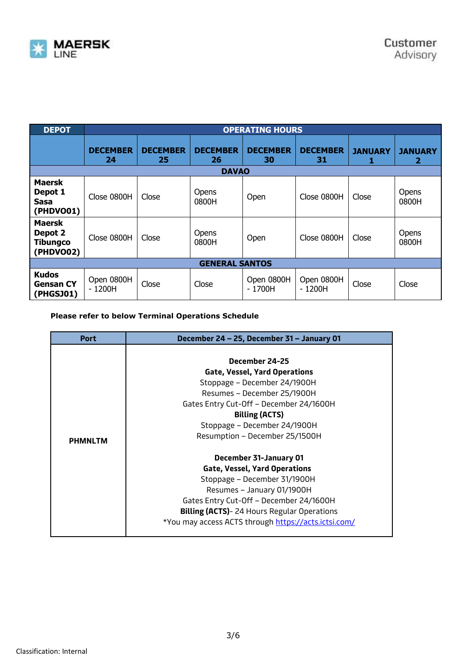

| <b>DEPOT</b>                                             | <b>OPERATING HOURS</b> |                       |                                       |                        |                       |                     |                     |
|----------------------------------------------------------|------------------------|-----------------------|---------------------------------------|------------------------|-----------------------|---------------------|---------------------|
|                                                          | <b>DECEMBER</b><br>24  | <b>DECEMBER</b><br>25 | <b>DECEMBER</b><br>26<br><b>DAVAO</b> | <b>DECEMBER</b><br>30  | <b>DECEMBER</b><br>31 | <b>JANUARY</b><br>1 | <b>JANUARY</b><br>2 |
| <b>Maersk</b><br>Depot 1<br>Sasa<br>(PHDVO01)            | Close 0800H            | Close                 | Opens<br>0800H                        | Open                   | Close 0800H           | Close               | Opens<br>0800H      |
| <b>Maersk</b><br>Depot 2<br><b>Tibungco</b><br>(PHDVO02) | Close 0800H            | Close                 | Opens<br>0800H                        | Open                   | Close 0800H           | Close               | Opens<br>0800H      |
| <b>GENERAL SANTOS</b>                                    |                        |                       |                                       |                        |                       |                     |                     |
| <b>Kudos</b><br><b>Gensan CY</b><br>(PHGSJ01)            | Open 0800H<br>- 1200H  | Close                 | Close                                 | Open 0800H<br>$-1700H$ | Open 0800H<br>- 1200H | Close               | Close               |

## **Please refer to below Terminal Operations Schedule**

| <b>Port</b>    | December 24 - 25, December 31 - January 01           |  |  |  |  |
|----------------|------------------------------------------------------|--|--|--|--|
|                |                                                      |  |  |  |  |
|                | December 24-25                                       |  |  |  |  |
|                | <b>Gate, Vessel, Yard Operations</b>                 |  |  |  |  |
|                | Stoppage - December 24/1900H                         |  |  |  |  |
|                | Resumes - December 25/1900H                          |  |  |  |  |
|                | Gates Entry Cut-Off - December 24/1600H              |  |  |  |  |
|                | <b>Billing (ACTS)</b>                                |  |  |  |  |
|                | Stoppage - December 24/1900H                         |  |  |  |  |
| <b>PHMNLTM</b> | Resumption - December 25/1500H                       |  |  |  |  |
|                |                                                      |  |  |  |  |
|                | December 31-January 01                               |  |  |  |  |
|                | <b>Gate, Vessel, Yard Operations</b>                 |  |  |  |  |
|                | Stoppage - December 31/1900H                         |  |  |  |  |
|                | Resumes - January 01/1900H                           |  |  |  |  |
|                | Gates Entry Cut-Off - December 24/1600H              |  |  |  |  |
|                | <b>Billing (ACTS)</b> -24 Hours Regular Operations   |  |  |  |  |
|                | *You may access ACTS through https://acts.ictsi.com/ |  |  |  |  |
|                |                                                      |  |  |  |  |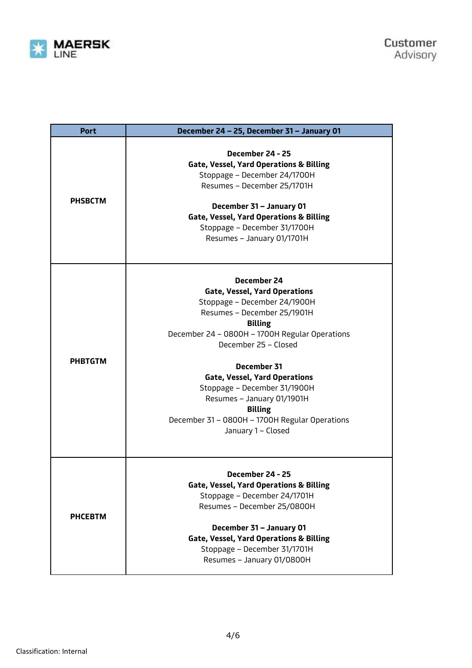

| <b>Port</b>    | December 24 - 25, December 31 - January 01                                                                                                                                                                                                                                                                                                                                                                                    |  |
|----------------|-------------------------------------------------------------------------------------------------------------------------------------------------------------------------------------------------------------------------------------------------------------------------------------------------------------------------------------------------------------------------------------------------------------------------------|--|
| <b>PHSBCTM</b> | December 24 - 25<br><b>Gate, Vessel, Yard Operations &amp; Billing</b><br>Stoppage - December 24/1700H<br>Resumes - December 25/1701H<br>December 31 - January 01<br><b>Gate, Vessel, Yard Operations &amp; Billing</b><br>Stoppage - December 31/1700H<br>Resumes - January 01/1701H                                                                                                                                         |  |
| <b>PHBTGTM</b> | December 24<br><b>Gate, Vessel, Yard Operations</b><br>Stoppage - December 24/1900H<br>Resumes - December 25/1901H<br><b>Billing</b><br>December 24 - 0800H - 1700H Regular Operations<br>December 25 - Closed<br>December 31<br><b>Gate, Vessel, Yard Operations</b><br>Stoppage - December 31/1900H<br>Resumes - January 01/1901H<br><b>Billing</b><br>December 31 - 0800H - 1700H Regular Operations<br>January 1 - Closed |  |
| <b>PHCEBTM</b> | December 24 - 25<br><b>Gate, Vessel, Yard Operations &amp; Billing</b><br>Stoppage - December 24/1701H<br>Resumes - December 25/0800H<br>December 31 - January 01<br><b>Gate, Vessel, Yard Operations &amp; Billing</b><br>Stoppage - December 31/1701H<br>Resumes - January 01/0800H                                                                                                                                         |  |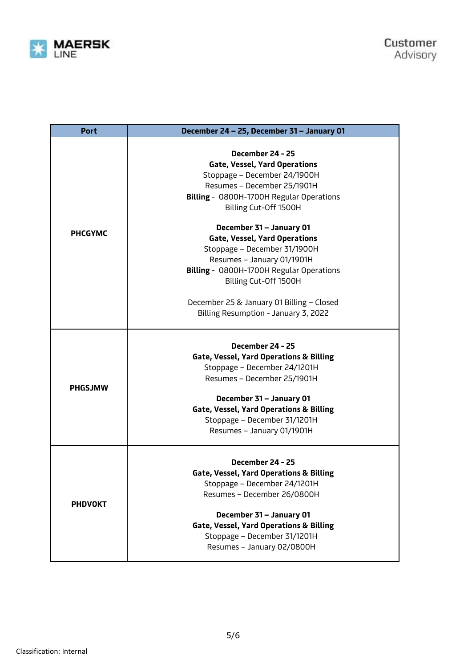

| <b>Port</b>    | December 24 - 25, December 31 - January 01                                                                                                                                                                                                                                            |
|----------------|---------------------------------------------------------------------------------------------------------------------------------------------------------------------------------------------------------------------------------------------------------------------------------------|
|                | December 24 - 25<br><b>Gate, Vessel, Yard Operations</b><br>Stoppage - December 24/1900H<br>Resumes - December 25/1901H<br>Billing - 0800H-1700H Regular Operations<br>Billing Cut-Off 1500H                                                                                          |
| <b>PHCGYMC</b> | December 31 - January 01<br><b>Gate, Vessel, Yard Operations</b><br>Stoppage - December 31/1900H<br>Resumes - January 01/1901H<br>Billing - 0800H-1700H Regular Operations<br>Billing Cut-Off 1500H                                                                                   |
|                | December 25 & January 01 Billing - Closed<br>Billing Resumption - January 3, 2022                                                                                                                                                                                                     |
| <b>PHGSJMW</b> | December 24 - 25<br><b>Gate, Vessel, Yard Operations &amp; Billing</b><br>Stoppage - December 24/1201H<br>Resumes - December 25/1901H<br>December 31 - January 01<br><b>Gate, Vessel, Yard Operations &amp; Billing</b><br>Stoppage - December 31/1201H<br>Resumes - January 01/1901H |
| <b>PHDVOKT</b> | December 24 - 25<br><b>Gate, Vessel, Yard Operations &amp; Billing</b><br>Stoppage - December 24/1201H<br>Resumes - December 26/0800H<br>December 31 - January 01<br><b>Gate, Vessel, Yard Operations &amp; Billing</b><br>Stoppage - December 31/1201H<br>Resumes - January 02/0800H |